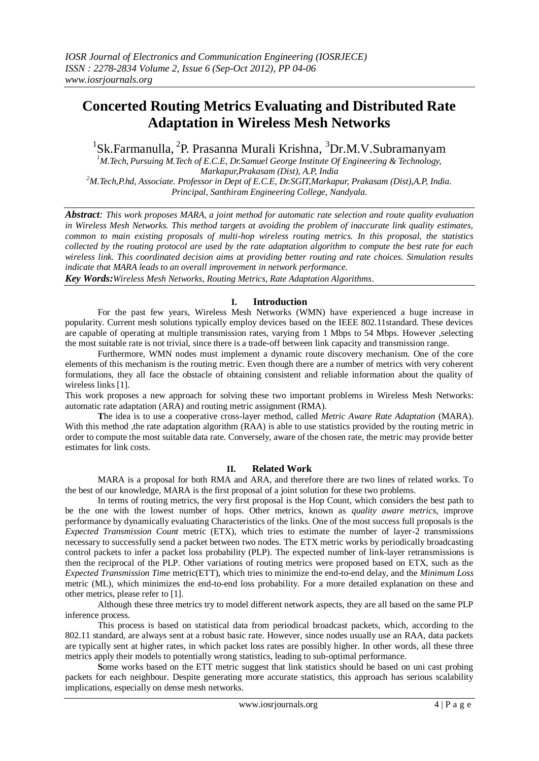# **Concerted Routing Metrics Evaluating and Distributed Rate Adaptation in Wireless Mesh Networks**

<sup>1</sup>Sk.Farmanulla, <sup>2</sup>P. Prasanna Murali Krishna, <sup>3</sup>Dr.M.V.Subramanyam<br><sup>1</sup>*M.Tech, Pursuing M.Tech of E.C.E, Dr.Samuel George Institute Of Engineering & Technology,* 

*Markapur,Prakasam (Dist), A.P, India <sup>2</sup>M.Tech,P.hd, Associate. Professor in Dept of E.C.E, Dr.SGIT,Markapur, Prakasam (Dist),A.P, India.*

*Principal, Santhiram Engineering College, Nandyala.*

*Abstract: This work proposes MARA, a joint method for automatic rate selection and route quality evaluation in Wireless Mesh Networks. This method targets at avoiding the problem of inaccurate link quality estimates, common to main existing proposals of multi-hop wireless routing metrics. In this proposal, the statistics collected by the routing protocol are used by the rate adaptation algorithm to compute the best rate for each wireless link. This coordinated decision aims at providing better routing and rate choices. Simulation results indicate that MARA leads to an overall improvement in network performance.*

*Key Words:Wireless Mesh Networks, Routing Metrics, Rate Adaptation Algorithms*.

### **I. Introduction**

For the past few years, Wireless Mesh Networks (WMN) have experienced a huge increase in popularity. Current mesh solutions typically employ devices based on the IEEE 802.11standard. These devices are capable of operating at multiple transmission rates, varying from 1 Mbps to 54 Mbps. However ,selecting the most suitable rate is not trivial, since there is a trade-off between link capacity and transmission range.

 Furthermore, WMN nodes must implement a dynamic route discovery mechanism. One of the core elements of this mechanism is the routing metric. Even though there are a number of metrics with very coherent formulations, they all face the obstacle of obtaining consistent and reliable information about the quality of wireless links [1].

This work proposes a new approach for solving these two important problems in Wireless Mesh Networks: automatic rate adaptation (ARA) and routing metric assignment (RMA).

**T**he idea is to use a cooperative cross-layer method, called *Metric Aware Rate Adaptation* (MARA). With this method , the rate adaptation algorithm (RAA) is able to use statistics provided by the routing metric in order to compute the most suitable data rate. Conversely, aware of the chosen rate, the metric may provide better estimates for link costs.

## **II. Related Work**

MARA is a proposal for both RMA and ARA, and therefore there are two lines of related works. To the best of our knowledge, MARA is the first proposal of a joint solution for these two problems.

In terms of routing metrics, the very first proposal is the Hop Count, which considers the best path to be the one with the lowest number of hops. Other metrics, known as *quality aware metrics*, improve performance by dynamically evaluating Characteristics of the links. One of the most success full proposals is the *Expected Transmission Count* metric (ETX), which tries to estimate the number of layer-2 transmissions necessary to successfully send a packet between two nodes. The ETX metric works by periodically broadcasting control packets to infer a packet loss probability (PLP). The expected number of link-layer retransmissions is then the reciprocal of the PLP. Other variations of routing metrics were proposed based on ETX, such as the *Expected Transmission Time* metric(ETT), which tries to minimize the end-to-end delay, and the *Minimum Loss*  metric (ML), which minimizes the end-to-end loss probability. For a more detailed explanation on these and other metrics, please refer to [1].

Although these three metrics try to model different network aspects, they are all based on the same PLP inference process.

This process is based on statistical data from periodical broadcast packets, which, according to the 802.11 standard, are always sent at a robust basic rate. However, since nodes usually use an RAA, data packets are typically sent at higher rates, in which packet loss rates are possibly higher. In other words, all these three metrics apply their models to potentially wrong statistics, leading to sub-optimal performance.

 **S**ome works based on the ETT metric suggest that link statistics should be based on uni cast probing packets for each neighbour. Despite generating more accurate statistics, this approach has serious scalability implications, especially on dense mesh networks.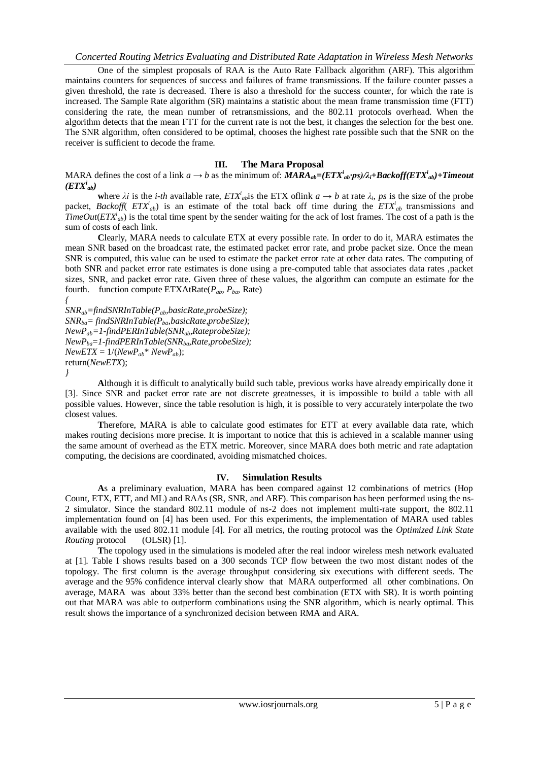One of the simplest proposals of RAA is the Auto Rate Fallback algorithm (ARF). This algorithm maintains counters for sequences of success and failures of frame transmissions. If the failure counter passes a given threshold, the rate is decreased. There is also a threshold for the success counter, for which the rate is increased. The Sample Rate algorithm (SR) maintains a statistic about the mean frame transmission time (FTT) considering the rate, the mean number of retransmissions, and the 802.11 protocols overhead. When the algorithm detects that the mean FTT for the current rate is not the best, it changes the selection for the best one. The SNR algorithm, often considered to be optimal, chooses the highest rate possible such that the SNR on the receiver is sufficient to decode the frame.

#### **III. The Mara Proposal**

MARA defines the cost of a link  $a \to b$  as the minimum of:  $MARA_{ab} = (ETX^i_{ab} \cdot ps)/\lambda_i + Backoff (ETX^i_{ab}) + Timeout$  $(ETX^i_{ab})$ 

where  $\lambda i$  is the *i-th* available rate,  $ETX^i{}_{ab}$  is the ETX of link  $a \to b$  at rate  $\lambda_i$ , ps is the size of the probe packet, *Backoff*( $ETX^i_{ab}$ ) is an estimate of the total back off time during the  $ETX^i_{ab}$  transmissions and *TimeOut*( $ETX^i_{ab}$ ) is the total time spent by the sender waiting for the ack of lost frames. The cost of a path is the sum of costs of each link.

**C**learly, MARA needs to calculate ETX at every possible rate. In order to do it, MARA estimates the mean SNR based on the broadcast rate, the estimated packet error rate, and probe packet size. Once the mean SNR is computed, this value can be used to estimate the packet error rate at other data rates. The computing of both SNR and packet error rate estimates is done using a pre-computed table that associates data rates ,packet sizes, SNR, and packet error rate. Given three of these values, the algorithm can compute an estimate for the fourth. function compute ETXAtRate(*Pab*, *Pba*, Rate)

*{ SNRab=findSNRInTable(Pab,basicRate,probeSize); SNRba= findSNRInTable(Pba,basicRate,probeSize); NewPab=1-findPERInTable(SNRab,RateprobeSize); NewPba*=*1-findPERInTable(SNRba,Rate,probeSize);*  $NewETX = 1/(NewP_{ab}^* NewP_{ab});$ return(*NewETX*); *}*

**A**lthough it is difficult to analytically build such table, previous works have already empirically done it [3]. Since SNR and packet error rate are not discrete greatnesses, it is impossible to build a table with all possible values. However, since the table resolution is high, it is possible to very accurately interpolate the two closest values.

**T**herefore, MARA is able to calculate good estimates for ETT at every available data rate, which makes routing decisions more precise. It is important to notice that this is achieved in a scalable manner using the same amount of overhead as the ETX metric. Moreover, since MARA does both metric and rate adaptation computing, the decisions are coordinated, avoiding mismatched choices.

#### **IV. Simulation Results**

**A**s a preliminary evaluation, MARA has been compared against 12 combinations of metrics (Hop Count, ETX, ETT, and ML) and RAAs (SR, SNR, and ARF). This comparison has been performed using the ns-2 simulator. Since the standard 802.11 module of ns-2 does not implement multi-rate support, the 802.11 implementation found on [4] has been used. For this experiments, the implementation of MARA used tables available with the used 802.11 module [4]. For all metrics, the routing protocol was the *Optimized Link State Routing* protocol (OLSR) [1].

 **T**he topology used in the simulations is modeled after the real indoor wireless mesh network evaluated at [1]. Table I shows results based on a 300 seconds TCP flow between the two most distant nodes of the topology. The first column is the average throughput considering six executions with different seeds. The average and the 95% confidence interval clearly show that MARA outperformed all other combinations. On average, MARA was about 33% better than the second best combination (ETX with SR). It is worth pointing out that MARA was able to outperform combinations using the SNR algorithm, which is nearly optimal. This result shows the importance of a synchronized decision between RMA and ARA.